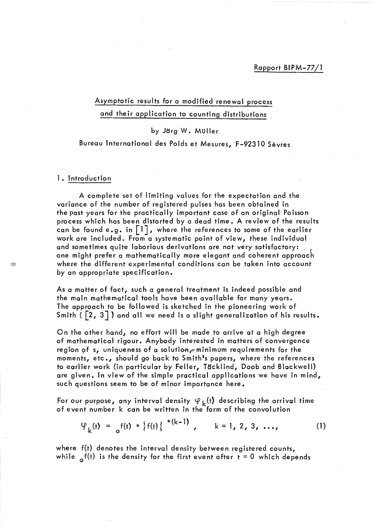## Rapport BIPM-77/1

# Asymptotic results for a modified renewal process and their application to counting distributions

### by Jorg W. Muller

### Bureau International des Poids et Mesures, F-92310 Sèvres

#### 1. Introduction

A complete set of limiting values for the.expectation and the variance of the number of registered pulses has been obtained in the past years for the practically important case of an original Poisson process which has been distorted by a dead time. A review of the results can be found e.g. in  $\lceil 1 \rceil$ , where the references to some of the earlier work are included. From a systematic point of view, these individual and sometimes quite laborious derivations are not very satisfactory: one might prefer a mathematically more elegant and coherent approach where the different experimental conditions can be taken into account by an appropriate specification.

As a matter of fact, such a general treatment is indeed possible and the main mathematical tools have been available for many years. The approach to be followed is sketched in the pioneering work of Smith ( $\lceil 2, 3 \rceil$ ) and all we need is a slight generalization of his results.

On the other hand, no effort will be made to arrive at a high degree of mathematical rigour. Anybody interested in matters of convergence region of s, uniqueness of a solution, minimum requirements for the moments, etc., should go back to Smith<sup>1</sup>s papers, where the references to earlier work (in particular by Feller, Täcklind, Doob and Blackwell) are given. In view of the simple practical applications we have in mind, such questions seem to be of minor importance here.

For our purpose, any interval density  $\varphi_k(t)$  describing the arrival time of event number k can be written in the form of the convolution

$$
\varphi_{k}(t) = \int_{0}^{t} f(t) \cdot k \left\{ f(t) \right\}^{(k-1)}, \qquad k = 1, 2, 3, ..., \qquad (1)
$$

where f(t) denotes the interval density between registered counts, while  $\delta$ <sup>f(t)</sup> is the density for the first event after  $t = 0$  which depends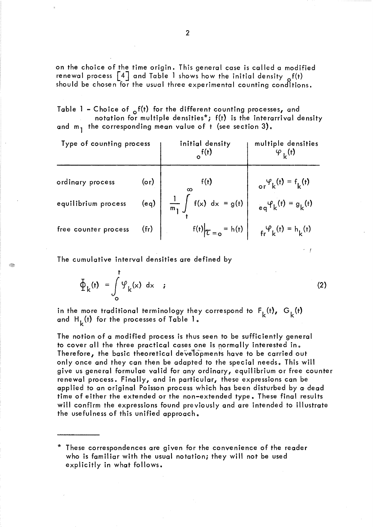on the choice of the time origin. This general case is called a modified renewal process  $\lceil 4 \rceil$  and Table 1 shows how the initial density  $\mathcal{A}(t)$ should be chosen for the usual three experimental counting conditions.

Table 1 - Choice of  $\delta^{f(t)}$  for the different counting processes, and notation for multiple densities\*; f(t) is the interarrival density and  $m_1$  the corresponding mean value of t (see section 3).

| Type of counting process |            | initial density                                                                                    | multiple densities                                                     |
|--------------------------|------------|----------------------------------------------------------------------------------------------------|------------------------------------------------------------------------|
| ordinary process         | $($ or $)$ | f(t)                                                                                               | or $\varphi_k(t) = f_k(t)$                                             |
| equilibrium process      |            | (eq) $\begin{vmatrix} \frac{1}{m_1} \int f(x) dx = g(t) \end{vmatrix}$ eq'(t) = g <sub>k</sub> (t) |                                                                        |
| free counter process     | (fr)       |                                                                                                    | $f(t)\Big _{\mathcal{L}=0} = h(t)$ $\Big _{f_r} \varphi_k(t) = h_k(t)$ |

The cumulative interval densities are defined by

$$
\Phi_{k}(\mathbf{r}) = \int_{0}^{\mathbf{r}} \Psi_{k}(\mathbf{x}) dx \qquad (2)
$$

- f

in the more traditional terminology they correspond to  $F_k(t)$ ,  $G_k(t)$ and  $H_L(t)$  for the processes of Table 1.

The notion of a modified process is thus seen to be sufficiently general to cover all the three practical cases one is normally interested in. Therefore, the basic theoretical developments have to be carried out only once and they can then be adapted to the special needs. This will give us general formulae valid for any ordinary, equilibrium or free counter renewal process. Finally, and in particular, these expressions can be applied to an original Poisson process which has been disturbed by a dead time of either the extended or the non-extended type. These final results will confirm the expressions found previously and are intended to illustrate the usefulness of this unified approach.

<sup>\*</sup> These correspondences are given for the convenience of the reader who is familiar with the usual notation; they will not be used explicitly in what follows.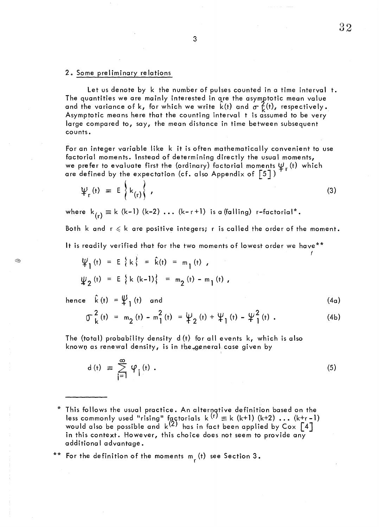#### 2. Some preliminary relations

Let us denote by k the number of pulses counted in a time interval t. The quantities we are mainly interested in are the asymptotic mean value and the variance of k, for which we write k(t) and  $\sigma \tilde{k}(t)$ , respectively. Asymptotic means here that the counting interval t is assumed to be very large compared to, say, the mean distance in time between subsequent counts.

For an integer variable like k it is often mathematically convenient to use factorial moments. Instead of determining directly the usual moments, we prefer to evaluate first the (ordinary) factorial moments  $\Psi_r$  (t) which are defined by the expectation (cf. also Appendix of  $\left[\begin{smallmatrix} 5 \end{smallmatrix}\right]$  )

defined by the expectation (c). also Appendix of [3])  
\n
$$
\Psi_r(t) = E\left\{k_{(r)}\right\},
$$
\n(3)

where  $k_{(r)} \equiv k \ (k-1) \ (k-2) \ldots (k-r+1)$  is a (falling) r-factorial\*.

Both k and  $r \le k$  are positive integers; r is called the order of the moment.

It is readily verified that for the two moments of lowest order we have\*\*

$$
\Psi_1(t) = E\{k\} = \hat{k}(t) = m_1(t),
$$
  

$$
\Psi_2(t) = E\{k (k-1)\} = m_2(t) - m_1(t),
$$

hence  $\hat{k}(t) = \psi_{\text{r}}(t)$  and

❀

$$
\begin{array}{lll}\n\text{Let } & \text{if } & \text{if } & \text{if } \\
\text{if } & \text{if } & \text{if } & \text{if } \\
\text{if } & \text{if } & \text{if } & \text{if } \\
\text{if } & \text{if } & \text{if } & \text{if } \\
\text{if } & \text{if } & \text{if } & \text{if } \\
\text{if } & \text{if } & \text{if } & \text{if } \\
\text{if } & \text{if } & \text{if } & \text{if } \\
\text{if } & \text{if } & \text{if } & \text{if } \\
\text{if } & \text{if } & \text{if } & \text{if } \\
\text{if } & \text{if } & \text{if } & \text{if } \\
\text{if } & \text{if } & \text{if } & \text{if } \\
\text{if } & \text{if } & \text{if } & \text{if } \\
\text{if } & \text{if } & \text{if } & \text{if } \\
\text{if } & \text{if } & \text{if } & \text{if } \\
\text{if } & \text{if } & \text{if } & \text{if } \\
\text{if } & \text{if } & \text{if } & \text{if } \\
\text{if } & \text{if } & \text{if } & \text{if } \\
\text{if } & \text{if } & \text{if } & \text{if } \\
\text{if } & \text{if } & \text{if } & \text{if } \\
\text{if } & \text{if } & \text{if } & \text{if } \\
\text{if } & \text{if } & \text{if } & \text{if } \\
\text{if } & \text{if } & \text{if } & \text{if } \\
\text{if } & \text{if } & \text{if } & \text{if } \\
\text{if } & \text{if } & \text{if } & \text{if } \\
\text{if } & \text{if } & \text{if } & \text{if } \\
\
$$

The (total) probability density 
$$
d(t)
$$
 for all events  $k$ , which is also known as renewal density, is in the general case given by

$$
d(t) \equiv \sum_{j=1}^{\infty} \varphi_j(t) \ . \tag{5}
$$

 $*$  This follows the usual practice. An alternative definition based on the less commonly used "rising" factorials k <sup>(r)</sup>  $\equiv$  k (k+1) (k+2)  $\ldots$  (k+r-1) would also be possible and  $\mathsf{k}^{(2)}$  has in fact been applied by Cox  $\lceil 4 \rceil$ in this context. However, this choice does not seem to provide any additiona 1 advantage.

 $**$  For the definition of the moments  $m_{r}^{(t)}$  see Section 3.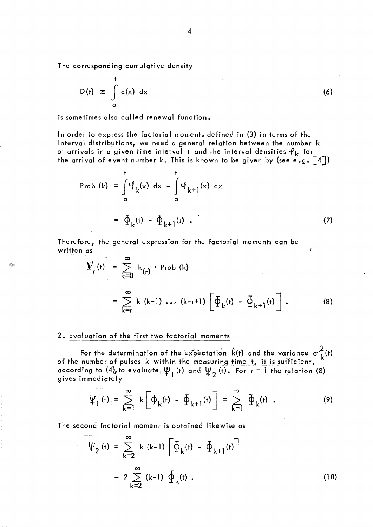The corresponding cumulative density

$$
D(t) \equiv \int_{0}^{t} d(x) dx
$$
 (6)

Q,

is sometimes also called renewal function.

ln order to express the factorial moments defined in (3) in terms of the interval distributions, we need a general relation between the number k of arrivals in a given time interval t and the interval densities  $\varphi_k$  for the arrival of event number k. This is known to be given by (see e.g.  $\lceil 4 \rceil$ )

Prob (k) = 
$$
\int_{0}^{t} \varphi_{k}(x) dx - \int_{0}^{t} \varphi_{k+1}(x) dx
$$
  
=  $\oint_{k}(t) - \oint_{k+1}(t)$  (7)

Therefore, the general expression for the factorial moments can be written as

$$
\Psi_{r}(t) = \sum_{k=0}^{\infty} k_{(r)} \cdot \text{Prob}(k)
$$
\n
$$
= \sum_{k=r}^{\infty} k_{(k-1)} \dots (k-r+1) \left[ \Phi_{k}(t) - \Phi_{k+1}(t) \right]. \tag{8}
$$

y

#### 2. Evaluation of the first two factorial moments

For the determination of the  $e^x$  pectation  $k(t)$  and the variance  $\sigma^2(k)$  of the number of pulses k within the measuring time t, it is sufficient, according to (4), to evaluate  $\psi_1$  (t) and  $\psi_2$  (t). For  $r = 1$  the relation (8) gives immediately

$$
\Psi_1(\mathbf{t}) = \sum_{k=1}^{\infty} k \left[ \Phi_k(\mathbf{t}) - \Phi_{k+1}(\mathbf{t}) \right] = \sum_{k=1}^{\infty} \Phi_k(\mathbf{t}) \quad . \tag{9}
$$

The second factorial moment is obtained likewise as

$$
\Psi_2 \text{ (t)} = \sum_{k=2}^{\infty} k (k-1) \left[ \Phi_k \text{ (t)} - \Phi_{k+1} \text{ (t)} \right]
$$
\n
$$
= 2 \sum_{k=2}^{\infty} (k-1) \Phi_k \text{ (t)} . \tag{10}
$$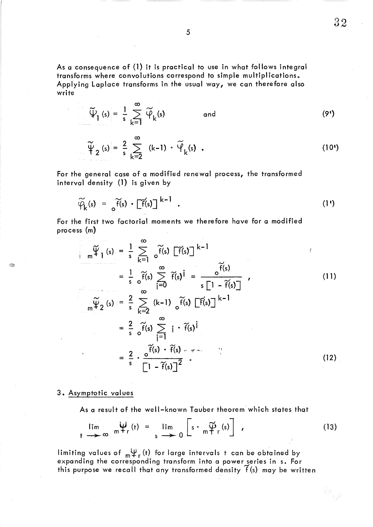As a consequence of (1) it is practical to use in what follows integral transforms where convolutions correspond to simple multiplications. Applying Laplace transforms in the usual way, we can therefore also write

$$
\widetilde{\Psi}_{1}(s) = \frac{1}{s} \sum_{k=1}^{\infty} \widetilde{\Psi}_{k}(s) \qquad \text{and} \qquad (9')
$$

$$
\widetilde{\Psi}_2(s) = \frac{2}{s} \sum_{k=2}^{\infty} (k-1) \cdot \widetilde{\Psi}_k(s) .
$$
 (10<sup>s</sup>)

For the general case of a modified renewal process, the transformed interval density (1) is given by

$$
\widetilde{\varphi}_k(s) = \widetilde{\sigma} \widetilde{f}(s) \cdot [\widetilde{f}(s)]^{k-1} . \qquad (1')
$$

For the first two factorial moments we therefore have for a modified process (m)

$$
\widetilde{\Psi}_{1}(s) = \frac{1}{s} \sum_{k=1}^{\infty} \widetilde{f}(s) \widetilde{[f}(s)]^{k-1}
$$
\n
$$
= \frac{1}{s} \widetilde{f}(s) \sum_{i=0}^{\infty} \widetilde{f}(s)^{i} = \frac{\widetilde{f}(s)}{s \left[1 - \widetilde{f}(s)\right]}
$$
\n
$$
\widetilde{\Psi}_{2}(s) = \frac{2}{s} \sum_{k=2}^{\infty} (k-1) \widetilde{f}(s) \widetilde{[f}(s)]^{k-1}
$$
\n
$$
= \frac{2}{s} \widetilde{f}(s) \sum_{i=1}^{\infty} i \widetilde{f}(s)^{i}
$$
\n
$$
= \frac{2}{s} \cdot \frac{\widetilde{f}(s) \cdot \widetilde{f}(s) \cdot \widetilde{f}(s) \cdot \widetilde{f}(s)}{\left[1 - \widetilde{f}(s)\right]^{2}}.
$$
\n(12)

## 3. Asymptotic values

Í.

As a result of the well-known Tauber theorem which stàtes that

$$
\lim_{t \to \infty} \mathfrak{m} \Psi_{r}(t) = \lim_{s \to \infty} \left[ s \cdot \mathfrak{m} \widetilde{\Psi}_{r}(s) \right], \qquad (13)
$$

limiting values of  $\frac{11}{11}$  (t) for large intervals t can be obtained by expanding the corresponding transform into a power series in s. For this purpose we recall that any transformed density  $\widetilde{f}$  (s) may be written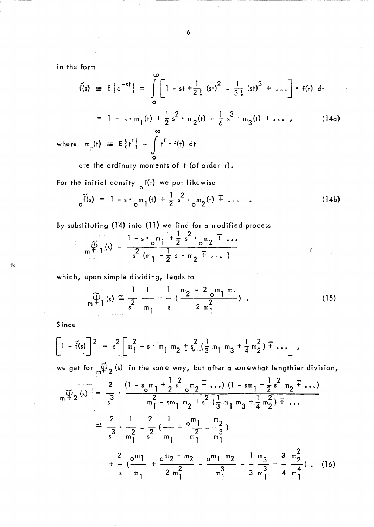in the form

$$
\widetilde{f}(s) \equiv E\{e^{-st}\} = \int_{0}^{\infty} \left[1 - st + \frac{1}{2!} (st)^2 - \frac{1}{3!} (st)^3 + \dots \right] \cdot f(t) dt
$$
  
= 1 - s \cdot m\_1(t) + \frac{1}{2} s^2 \cdot m\_2(t) - \frac{1}{6} s^3 \cdot m\_3(t) \pm \dots, (14a)  
where m\_r(t) \equiv E\{t'\} = \int\_{0}^{\infty} t^r \cdot f(t) dt (14a)

are the ordinary moments of t (of order r).

For the initial density <sub>o</sub>f(t) we put likewise

$$
\delta^{F(s)} = 1 - s \cdot \delta^{m} (t) + \frac{1}{2} s^{2} \cdot \delta^{m} (t) + \cdots
$$
 (14b)

By substituting (14) into (11) we find for a modified process

$$
m\,\widetilde{\Psi}\,1\,(s) = \frac{1 - s \cdot_{o} m_{1} + \frac{1}{2} s^{2} \cdot_{o} m_{2} + \cdots}{s^{2} (m_{1} - \frac{1}{2} s \cdot m_{2} + \cdots)}
$$

which, upon simple dividing, leads to

$$
{}_{m}\widetilde{\psi}_{1}(s) \cong \frac{1}{s^{2}} \frac{1}{m_{1}} + \frac{1}{s} \left( \frac{m_{2} - 2}{2} \frac{m_{1} m_{1}}{n_{1}} \right) . \tag{15}
$$

Since

Q

$$
\left[1-\widetilde{f}(s)\right]^2 = s^2 \left[m_1^2 - s \cdot m_1 m_2 + s_{\nu}^2 \left(\frac{1}{3}m_1 m_3 + \frac{1}{4}m_2^2\right) + \cdots\right],
$$

we get for  $\mathfrak{g}_{\alpha}$  (s) in the same way, but after a somewhat lengthier division,

$$
\overline{m\ddot{\psi}_{2}(s)} = \frac{2}{3} \cdot \frac{(1 - s_{0}m_{1} + \frac{1}{2}s^{2} - m_{2} + \dots)(1 - s_{1} + \frac{1}{2}s^{2} - m_{2} + \dots)}{m_{1}^{2} - s_{1}m_{2} + s^{2}(\frac{1}{3}m_{1}m_{3} + \frac{1}{4}m_{2}^{2}) + \dots}
$$
\n
$$
\approx \frac{2}{3} \cdot \frac{1}{m_{1}^{2}} - \frac{2}{3} \cdot \frac{1}{m_{1}} + \frac{2}{3} \cdot \frac{1}{m_{1}} + \frac{2}{3} \cdot \frac{1}{m_{1}} + \frac{2}{3} \cdot \frac{1}{m_{1}} + \frac{2}{3} \cdot \frac{1}{m_{1}} + \frac{2}{3} \cdot \frac{1}{3} \cdot \frac{1}{3} \cdot \frac{1}{3} + \frac{3}{4} \cdot \frac{m_{2}^{2}}{n_{1}} + \dots
$$
\n(16)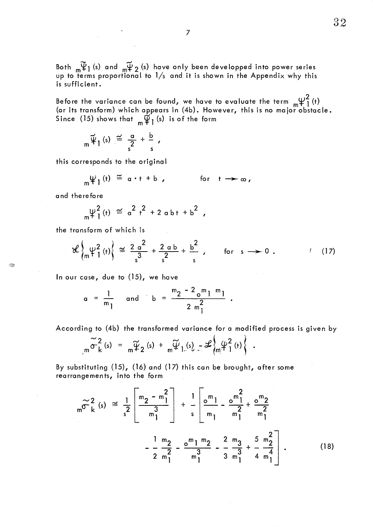Both  $\omega \widetilde{\Psi}_1$  (s) and  $\omega \widetilde{\Psi}_2$  (s) have only been developped into power series up to terms proportional to  $1/s$  and it is shown in the Appendix why this is sufficient.

Before the variance can be found, we have to evaluate the term  $\ _{m}\!\mathfrak{\leftarrow\!}{}_{1}^{2}\left($ t) (or its transform) which appears in (4b). However, this is no major obstacle. Since (15) shows that  $\ {}_{\mathbf{m}}\widetilde{\Psi}_{\mathbf{1}}\left( \mathbf{s}\right)$  is of the form

$$
{}_{m}\widetilde{\Psi}_{1}\left(s\right) \stackrel{\simeq}{=} \frac{\alpha}{s^{2}} + \frac{b}{s} ,
$$

this corresponds to the original

$$
\psi_1(t) \cong a \cdot t + b , \qquad \text{for } t \to \infty,
$$

and therefore

÷.

$$
{}_{m}\psi_{1}^{2}(t) \cong a^{2} t^{2} + 2 abt + b^{2},
$$

the transform of which is

$$
\mathcal{L}\left\{\mu^2\left(t\right)\right\} \cong \frac{2\alpha^2}{s^3} + \frac{2\alpha b}{s^2} + \frac{b^2}{s}, \qquad \text{for } s \to 0. \tag{17}
$$

ln our case, due to (15) , we have

$$
a = \frac{1}{m_1}
$$
 and  $b = \frac{m_2 - 2 \cdot m_1 m_1}{2 \cdot m_1^2}$ 

According to (4b) the transformed variance for a modified process is given by

$$
\widetilde{\sigma}_{k}^{2}(s) = \widetilde{\pi}_{k}^{2}(s) + \widetilde{\pi}_{k}^{2}(s) + \widetilde{\pi}_{k}^{2}(s) - \mathcal{L}_{m}^{2}(t)^{2}(t) \bigg\}.
$$

By substituting  $(15)$ ,  $(16)$  and  $(17)$  this can be brought, after some rearrangements, into the form

ungements, into the form

\n
$$
m \widetilde{\sigma}_{k}^{2}(s) \cong \frac{1}{2} \left[ \frac{m_{2} - m_{1}^{2}}{m_{1}^{3}} \right] + \frac{1}{s} \left[ \frac{m_{1}}{m_{1}} - \frac{m_{1}^{2}}{m_{1}^{2}} + \frac{0}{m_{2}^{2}} \right]
$$
\n
$$
- \frac{1}{2} \frac{m_{2}}{m_{1}^{2}} - \frac{0}{m_{1}^{3}} - \frac{m_{1} m_{2}}{m_{1}^{3}} - \frac{2}{3} \frac{m_{3}}{m_{1}^{3}} + \frac{5}{4} \frac{m_{2}^{2}}{m_{1}^{4}} \right].
$$
\n(18)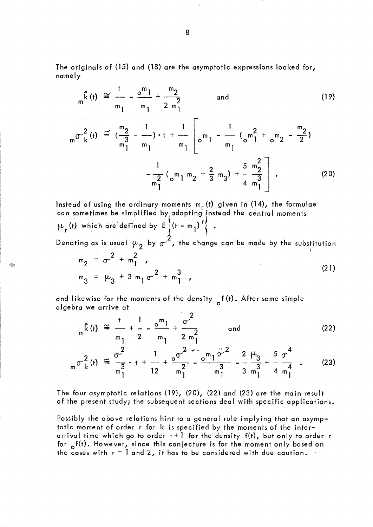The originals of (15) and (18) are the asymptotic expressions looked for, namely

$$
{}_{m}\hat{k}(t) \cong \frac{1}{m_{1}} - \frac{\circ^{m_{1}}}{m_{1}} + \frac{m_{2}}{2} \quad \text{and} \quad (19)
$$
\n
$$
{}_{m} \sigma^{2}(t) \cong (\frac{m_{2}}{m_{1}^{3}} - \frac{1}{m_{1}}) \cdot t + \frac{1}{m_{1}} \left[ \sigma^{m_{1}} - \frac{1}{m_{1}} \left( \sigma^{m_{1}^{2}} + \sigma^{m_{2}} - \frac{m_{2}}{2} \right) - \frac{1}{2} \left( \sigma^{m_{1}} m_{2} + \frac{2}{3} m_{3} \right) + \frac{5}{4} \frac{m_{2}^{2}}{m_{1}^{3}} \right]. \quad (20)
$$

Instead of using the ordinary moments  $m_r$  (t) given in (14), the formulae can sometimes be simplified by adopting instead the central moments  $\mu_r$  (t) which are defined by  $E\left\{ (t - m_1)^T \right\}$ .

Denoting as is usual  $\mu$  , by  $\sigma^{-}$  , the change can be made by the substitution  $\frac{2}{1}$  2

$$
m_2 = \sigma^2 + m_1^2
$$
  
\n
$$
m_3 = \mu_3 + 3 m_1 \sigma^2 + m_1^3
$$
 (21)

and likewise for the moments of the density  $\sigma$  f (t). After some simple algebra we arrive at

G.

$$
{}_{m}\hat{k}(t) \cong \frac{t}{m_{1}} + \frac{1}{2} - \frac{0}{m_{1}} + \frac{0}{2} \frac{e^{2}}{m_{1}^{2}}
$$
 and (22)

$$
{}_m\sigma_k^2(t) \cong \frac{\sigma^2}{m_1^3} \cdot t + \frac{1}{12} + \frac{\sigma^2}{m_1^2} - \frac{\sigma^2}{m_1^3} - \frac{\sigma^2}{m_1^3} - \frac{2}{3} \frac{\mu_3}{m_1^3} + \frac{5}{4} \frac{\sigma^4}{m_1^4} \tag{23}
$$

The four asymptotic relations (19), (20), (22) and (23) are the main result of the present study; the subsequent sections deal with specific applications.

Possibly the above relations hint to a general rule implying that an asymptotic moment of order r for k is specified by the moments of the interarrival time which go to order  $r+1$  for the density  $f(t)$ , but only to order r for  $\sigma^{f(t)}$ . However, since this conjecture is for the moment only based on the cases with  $r = 1$  and 2, it has to be considered with due caution.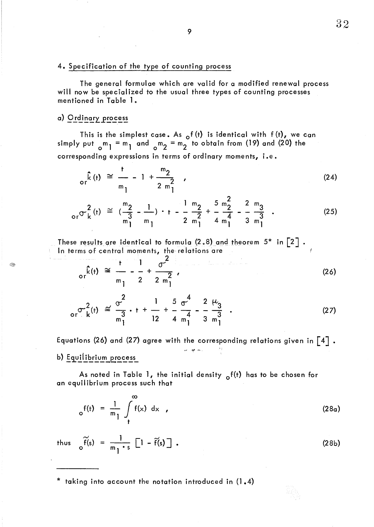#### 4. Specification of the type of counting process

The general formulae which are valid for a modified renewal process will now be specialized to the usual three types of counting processes mentioned in Table 1.

## a) Ordinary process

This is the simplest case. As  $_{\mathsf{o}} f$  (t) is identical with  $f$  (t), we can simply put  $\binom{m}{0}$  = m<sub>1</sub> and  $\binom{m}{2}$  = m<sub>2</sub> to obtain from (19) and (20) the corresponding expressions in terms of ordinary moments, i.e.

$$
\hat{k}(t) \approx \frac{t}{m_1} - 1 + \frac{m_2}{2 m_1^2} \tag{24}
$$

$$
{}_{\text{or}}\sigma_{k}^{2}(t) \cong \left(\frac{m_{2}}{m_{1}^{3}} - \frac{1}{m_{1}}\right) \cdot t - \frac{1}{2} \frac{m_{2}}{m_{1}^{2}} + \frac{5}{4} \frac{m_{2}^{2}}{m_{1}^{4}} - \frac{2}{3} \frac{m_{3}}{m_{1}^{3}} \tag{25}
$$

These results are identical to formula (2.8) and theorem  $5^*$  in  $\lceil 2 \rceil$  . ln terms of central moments, the re lations are

$$
\frac{1}{\text{or}^{\hat{k}}(t)} \cong \frac{1}{m_1} - \frac{1}{2} + \frac{\sigma^2}{2 m_1^2},
$$
 (26)

$$
\sigma^{2}_{\mathsf{cr}}(\mathsf{t}) \cong \frac{\sigma^{2}}{\mathsf{n}_{1}^{3}} \cdot \mathsf{t} + \frac{1}{12} + \frac{5}{4} \frac{\sigma^{4}}{\mathsf{n}_{1}^{4}} - \frac{2}{3} \frac{\mu_{3}}{\mathsf{n}_{1}^{3}} \tag{27}
$$

Equations (26) and (27) agree with the corresponding relations given in  $\left[\begin{smallmatrix} 4 \end{smallmatrix}\right]$  . b) Equilibrium process

As noted in Table 1, the initial density  $\delta(t)$  has to be chosen for an equilibrium process such that

$$
e^{f(t)} = \frac{1}{m_1} \int_{t}^{\infty} f(x) dx
$$
 (28a)

thus o

\* taking into account the notation introduced in (1.4)

9

(28b)

 $\widetilde{f}(s)$  =  $m_1 \cdot s$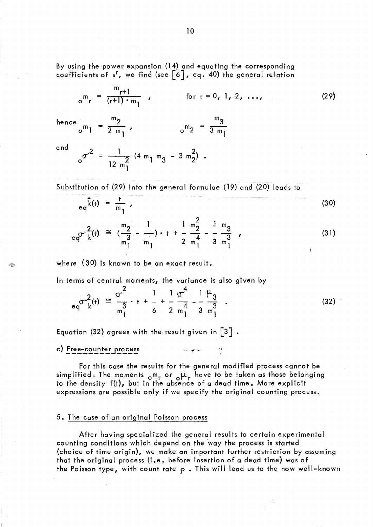By using the power expansion (14) and equating the corresponding coefficients of  $s^r$ , we find (see  $[6]$ , eq. 40) the general relation

$$
{}_{o}^{m} = \frac{m_{r+1}}{(r+1) \cdot m_{1}}
$$
 for  $r = 0, 1, 2, ...,$  (29)

 $m_2 = \frac{m_3}{3 m_1}$ 

hence  $m_2$  m<sup>3</sup>  $\sigma^{m}$ 1 =  $\frac{2}{2 m_1}$ ,  $\sigma^{m_2}$  =

and

$$
0^{\sigma^2} = \frac{1}{12 m_1^2} (4 m_1 m_3 - 3 m_2^2).
$$

Substitution of (29) into the general formulae (19) and (20) leads to

$$
eq^{\hat{k}(t)} = \frac{t}{m_1} \tag{30}
$$

$$
eq^{2}(t) \cong \left(\frac{m_{2}}{m_{1}^{3}} - \frac{1}{m_{1}}\right) \cdot t + \frac{1}{2} \frac{m_{2}^{2}}{m_{1}^{4}} - \frac{1}{3} \frac{m_{3}}{m_{1}^{3}} , \qquad (31)
$$

where  $(30)$  is known to be an exact result.

**ln** terms of central moments, the variance is also given by

$$
_{eq} \sigma_{k}^{2}(t) \approx \frac{\sigma^{2}}{m_{1}^{3}} \cdot t + \frac{1}{6} + \frac{1}{2} \frac{\sigma^{4}}{m_{1}^{4}} - \frac{1}{3} \frac{\mu_{3}}{m_{1}^{3}} \tag{32}
$$

Equation (32) agrees with the result given in  $\lceil 3 \rceil$ .

c) Free-counter process

For this case the results for the general modified process cannot be simplified. The moments  $_{\sf o}$ m<sub>r</sub> or  $_{\sf o}\mu_{\sf r}$  have to be taken as those belonging to the density f(t), but in the absence of a dead time. More explicit expressions are possible only if we specify the original counting process.

 $\omega$  . We can be

#### 5. The case of an original Po isson process

After having specialized the general results to certain experimental counting conditions which depend on the 'way the process is started (choice of time origin), we make an important further restriction by assuming that the original process (i.e. before insertion of a dead time) was of the Poisson type, with count rate  $\rho$  . This will lead us to the now well-known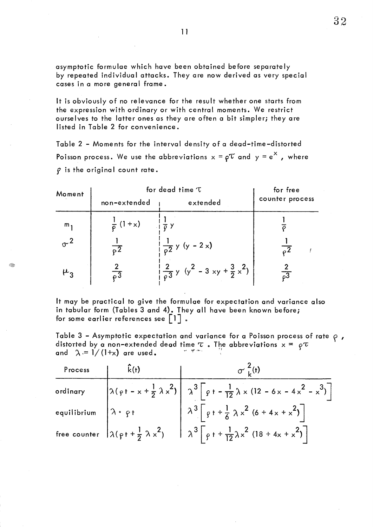asymptotic formulae which have been obtained before separately by repeated individual attacks. They are now derived as very special cases in a more general frame.

It is obviously of no relevance for the result whether one starts from the expression with ordinary or with central moments. We restrict ourselves to the latter ones as they are often a bit simpler; they are listed in Table 2 for convenience.

Table 2 - Moments for the interval density of a dead-time-distorted Poisson process. We use the abbreviations  $x = \rho \tau$  and  $y = e^X$ , where  $\rho$  is the original count rate.

| Moment           | for dead time 'T      | for free                                                      |                            |
|------------------|-----------------------|---------------------------------------------------------------|----------------------------|
|                  | non-extended          | extended                                                      | counter process            |
| $m_{\mathbf{1}}$ | $\frac{1}{6}$ (1 + x) | $\frac{1}{\sqrt{2}}$ y                                        |                            |
|                  | $\overline{52}$       | $\frac{1}{2}$ y (y - 2 x)                                     | $\overline{0}$             |
| ۳3               | $\overline{c^3}$      | $\frac{2}{\rho} \frac{2}{3} y (y^2 - 3 xy + \frac{3}{2} x^2)$ | $\overline{\mathcal{C}^3}$ |

Â.

It may be practical to give the formulae for expectation and variance also in tabular form (Tables 3 and 4). They all have been known before; for some earlier references see  $|1|$ .

Table 3 - Asymptotic expectation and variance for a Poisson process of rate  $\rho$ , distorted by a non-extended dead time  $\tau$  . The abbreviations  $\mathsf{x} = \rho \tau$ and  $\lambda = 1/(1+x)$  are used. Figure

| Process  | k(t) | $\sigma^2(t)$                                                                                                                                                  |
|----------|------|----------------------------------------------------------------------------------------------------------------------------------------------------------------|
| ordinary |      | $\left[\lambda(\rho t - x + \frac{1}{2}\lambda x^2)\right] \lambda^3 \left[\rho t - \frac{1}{12}\lambda x (12 - 6x - 4x^2 - x^3)\right]$                       |
|          |      | equilibrium $\left[\lambda \cdot \rho t\right]$ $\left[\lambda^3 \left[\rho t + \frac{1}{6} \lambda x^2 (6 + 4x + x^2)\right]\right]$                          |
|          |      | free counter $\left[\lambda(\rho t + \frac{1}{2} \lambda x^2) \right] \left[\lambda^3 \right] \left[\rho t + \frac{1}{12} \lambda x^2 (18 + 4x + x^2) \right]$ |

1 1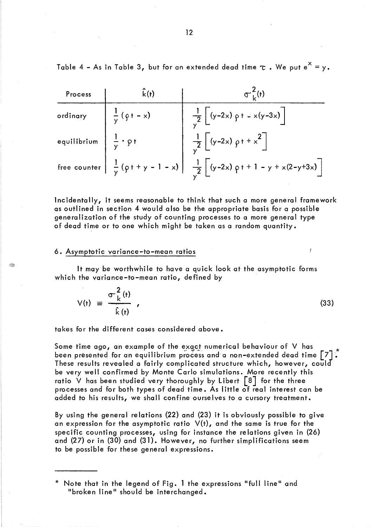Table 4 - As in Table 3, but for an extended dead time  $\tau$  . We put  $e^{X} = y$ .

| Process                                | k(f)                   |                                                                                         |
|----------------------------------------|------------------------|-----------------------------------------------------------------------------------------|
| ordinary                               | $\frac{1}{y} (9 + -x)$ | $\frac{1}{\sqrt{2}}$ $(y-2x)$ $y + x(y-3x)$                                             |
| equilibrium $\frac{1}{y} \cdot \rho t$ |                        | $\frac{1}{\sqrt{2}}\left[ (y-2x) \rho + x^2 \right]$                                    |
|                                        |                        | free counter $\frac{1}{y} (p + y - 1 - x) \frac{1}{y^2} [(y-2x) p + 1 - y + x(2-y+3x)]$ |

Incidentally, it seems reasonable to think that such a more general framework as outlined in section 4 would also be the appropriate basis for a possible generalization of the study of counting processes to a more general type of dead time or to one which might be taken as a random quantity.

#### 6. Asymptotic variance-to-mean ratios

R

It may be worthwhile to have a quick look at the asymptotic forms which the variance-to-mean ratio, defined by

$$
V(t) = \frac{\sigma_k^2(t)}{\hat{k}(t)}
$$
 (33)

takes for the different cases considered above.

Some time ago, an example of the exact numerical behaviour of V has been presented for an equilibrium process and a non-extended dead time  $\lceil 7 \rceil$ : These results revealed a fairly complicated structure which, however, could be very weil confirmed by Monte Carlo simulations. More recently this ratio V has been studied very thoroughly by Libert  $\lceil 8 \rceil$  for the three processes and for both types of dead time. As little of real interest can be added to his results, we shall confine ourselves to a cursory treatment.

By using the general relations (22) and (23) it is obviously possible to give an expression for the asymptotic ratio  $V(t)$ , and the same is true for the specifie counting processes, using for instance the relations given in (26) and (27) or in (30) and (31). However, no further simplifications seem to be possible for these general expressions.

<sup>\*</sup> Note that in the legend of Fig. 1 the expressions "full line" and "broken line" should be interchanged.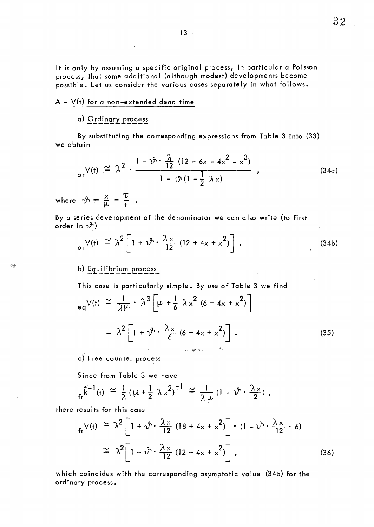It is only by assuming a specifie original process, in particular a Poisson process, that some additional (although modest) developments become possible. Let us consider the various cases separately in what follows.

# $A - V(t)$  for a non-extended dead time

# a) Ordinary process

By substituting the corresponding expressions from Table 3 into (33) we obtain

$$
\mathsf{or} \mathsf{V}(\mathsf{t}) \cong \lambda^2 \cdot \frac{1 - \mathfrak{V} \cdot \frac{\lambda}{12} (12 - 6x - 4x^2 - x^3)}{1 - \mathfrak{V} \cdot (1 - \frac{1}{2} \lambda x)}, \qquad (34a)
$$

where  $\vartheta \equiv \frac{x}{\mu} = \frac{\tau}{t}$ 

I.

By a series development of the denominator we can also write (to first order in  $\mathcal{Y}$ )

$$
\begin{array}{ll}\n\text{or}\n\sqrt{t} & \text{if}\n\begin{bmatrix}\n\cos(34b) \\
\sin(34b) \\
\cos(34b)\n\end{bmatrix}\n\end{array}
$$

## b) Equilibrium process

This case is particularly simple. By use of Table 3 we find

$$
e_{q}V(t) \cong \frac{1}{\lambda\mu} \cdot \lambda^{3} \left[\mu + \frac{1}{6} \lambda x^{2} (6 + 4x + x^{2})\right]
$$

$$
= \lambda^{2} \left[1 + \vartheta^{2} \cdot \frac{\lambda x}{6} (6 + 4x + x^{2})\right]. \tag{35}
$$

# c) Free counter process

Since from Table 3 we have

$$
f_r^{\hat{k}-1}(t) \cong \frac{1}{\lambda} (\mu + \frac{1}{2} \lambda \times^2)^{-1} \cong \frac{1}{\lambda \mu} (1 - \nu^{\hat{k}} \cdot \frac{\lambda \times}{2})
$$

there results for this case

$$
f_{r}V(t) \cong \lambda^{2}\left[1+\sqrt{2}\cdot\frac{\lambda x}{12}(18+4x+x^{2})\right]\cdot(1-\sqrt{2}\cdot\frac{\lambda x}{12}\cdot 6)
$$
  
\n
$$
\cong \lambda^{2}\left[1+\sqrt{2}\cdot\frac{\lambda x}{12}(12+4x+x^{2})\right],
$$
\n(36)

which coincides with the corresponding asymptotic value (34b) for the ordinary process.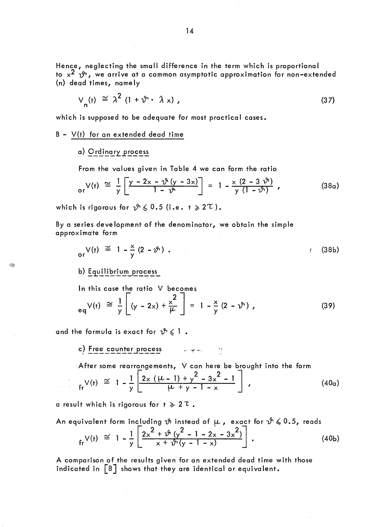Hence, neglecting the small difference in the term which is proportional to  $x^2$   $\mathcal{P}$ , we arrive at a common asymptotic approximation for non-extended (n) dead times, name Iy

$$
V_{n}(t) \cong \lambda^{2} (1 + \vartheta \cdot \lambda x), \qquad (37)
$$

which is supposed to be adequate for most practical cases.

 $B - V(t)$  for an extended dead time

a) Ordinary process

From the values given in Table 4 we can form the ratio

$$
\sigma_{\mathsf{r}} V(\mathsf{t}) \cong \frac{1}{\gamma} \left[ \frac{\gamma - 2x - \vartheta(\gamma - 3x)}{1 - \vartheta} \right] = 1 - \frac{x (2 - 3 \vartheta)}{\gamma (1 - \vartheta)} , \qquad (38a)
$$

which is rigorous for  $\sqrt{2} \leq 0.5$  (i.e.  $t \geq 2^{\tau}$ ).

By a series development of the denominator, we obtain the simple approximdte form

$$
\mathsf{or} \, \mathsf{V}(\mathsf{t}) \, \cong \, 1 - \frac{\mathsf{x}}{\mathsf{y}} \, (2 - \mathsf{Y}) \, . \tag{38b}
$$

b) Equilibrium process

ln this case the ratio V becomes

$$
e_q V(t) \approx \frac{1}{y} \left[ (y - 2x) + \frac{x^2}{\mu} \right] = 1 - \frac{x}{y} (2 - y^2),
$$
 (39)

and the formula is exact for  $\mathcal{V} \leq 1$ .

c) Free counter process ,,' ~,. ..... , ",

After some rearrangements, V can here be brought into the form  $V(t) \approx 1 - \frac{1}{x} \left[ \frac{2x (\mu - 1) + y^2}{1 + x^2} \right]$ 2 <u>- 3x</u> 2  $f_r V(t) \approx 1 - \frac{1}{y} \left[ \frac{2x (\mu - 1) + y - 3x - 1}{\mu + y - 1 - x} \right]$ , (40a)

a result which is rigorous for  $t \geqslant 2 \tau$ .

An equivalent form including 
$$
\vartheta
$$
 instead of  $\mu$ , exact for  $\vartheta \le 0.5$ , reads  
\n
$$
f_{\text{r}}(t) \approx 1 - \frac{1}{y} \left[ \frac{2x^2 + \vartheta (y^2 - 1 - 2x - 3x^2)}{x + \vartheta (y - 1 - x)} \right].
$$
\n(40b)

A comparison of the results given for an extended de ad time with those indicated in [8] shows that they are identical or equivalent.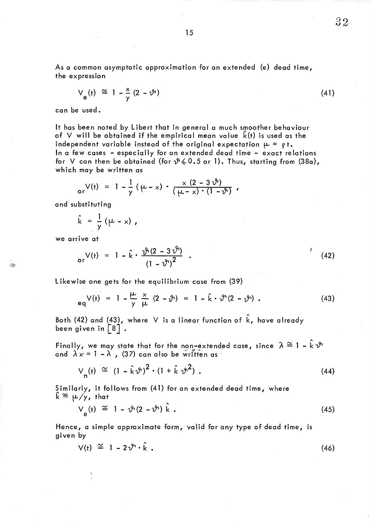As a common asymptotic approximation for an extended (e) dead time, the expression

$$
V_e(t) \cong 1 - \frac{x}{y} (2 - \vartheta)
$$

can be used.

It has been noted by Libert that in general a much smoother behaviour of V will be obtained if the empirical mean value  $\hat{k}(t)$  is used as the independent variable instead of the original expectation  $\mu = \rho t$ . ln a few cases - especially for an extended de ad time - exact relations for V can then be obtained (for  $\mathcal{P} \leq 0.5$  or 1). Thus, starting from (38a), which may be written as

or 
$$
V(t) = 1 - \frac{1}{y} (\mu - x) \cdot \frac{x (2 - 3 \vartheta)}{(\mu - x) \cdot (1 - \vartheta)}
$$
,

and substituting

$$
\hat{k} = \frac{1}{y} (\mu - x),
$$

we arrive at

G.

$$
o_r V(t) = 1 - \hat{k} \cdot \frac{\vartheta(2 - 3\vartheta)}{(1 - \vartheta)^2} \quad . \tag{42}
$$

Likewise one gets for the equilibrium case from (39)

$$
eqV(t) = 1 - \frac{\mu}{y} \frac{x}{\mu} (2 - \vartheta) = 1 - \hat{k} \cdot \vartheta (2 - \vartheta).
$$
 (43)

Both (42) and (43), where  $\,$  V is a linear function of  $\hat{\mathsf{k}}$ , have already been given in  $\lceil 8 \rceil$ .

Finally, we may state that for the non-extended case, since  $\lambda\cong1$  – k  $\vartheta$ and  $\lambda x = 1 - \lambda$ , (37) can also be written as

$$
V_n(t) \cong (1 - \hat{k}\vartheta)^2 \cdot (1 + \hat{k}\vartheta^2) \tag{44}
$$

Similarly, it follows from (41) for an extended dead time, where  $\hat{k} \cong \mu/y$ , that

$$
V_{e}(t) \cong 1 - \vartheta (2 - \vartheta) \hat{k} . \tag{45}
$$

Hence, a simple approximate form, valid for any type of dead time, is given by

$$
V(t) \cong 1 - 2\upsilon^6 \cdot \hat{k} \tag{46}
$$

 $32$ 

 $(41)$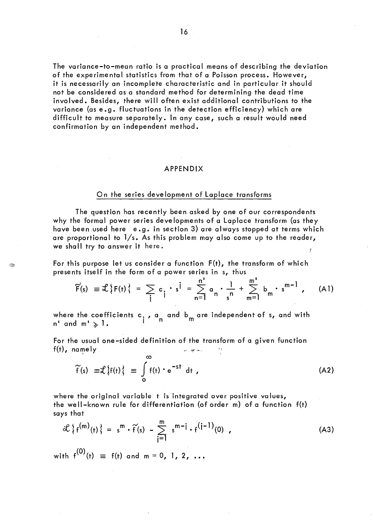The variance-to-mean ratio is a practical means of describing the deviation of the experimental statistics from that of a Poisson process. However, it is necessarily an incomplete characteristic and in particular it should not be considered as a standard method for determining the dead time involved. Besides, there will often exist additional contributions to the variance (as e.g. fluctuations in the detection efficiency) which are difficult to measure separately. In any case, such a result would need confirmation by an independent method.

#### APPENDIX

### On the series development of Laplace transforms

The question has recently been asked by one of our correspondents why the formal power series developments of a Laplace transform (as they have been.used here e.g. in section 3) are always stopped at terms which are proportional to  $1/s$ . As this problem may also come up to the reader, we shall try to answer it here.

For this purpose let us consider a function  $F(t)$ , the transform of which presents itself in the form of a power series in s, thus

$$
\widetilde{F}(s) \equiv \mathcal{L}\{F(t)\} = \sum_{i} c_i \cdot s^{i} = \sum_{n=1}^{n} a_n \cdot \frac{1}{s^n} + \sum_{m=1}^{m} b_m \cdot s^{m-1}, \quad (A1)
$$

where the coefficients c<sub>.</sub>, a and b<sub>m</sub> are independent of s, and with <br>n' and m' <sub>></sub> 1.

For the usual one-sided definition of the transform of a given function For the usual one–sided definition of the transfo $f(t)$ , namely

 $\infty$ 

43

$$
\widetilde{f}(s) \equiv \mathcal{L}\left\{f(t)\right\} \equiv \int_{0}^{\infty} f(t) \cdot e^{-st} dt , \qquad (A2)
$$

where the original variable t is integrated over positive values, the well-known rule for differentiation (of order m) of a function f{t) says that

$$
\mathcal{L}\left\{f^{(m)}(t)\right\} = s^{m} \cdot \widetilde{f}(s) - \sum_{j=1}^{m} s^{m-j} \cdot f^{(j-1)}(0) , \qquad (A3)
$$

with  $f^{(0)}(t) \equiv f(t)$  and m = 0, 1, 2, ...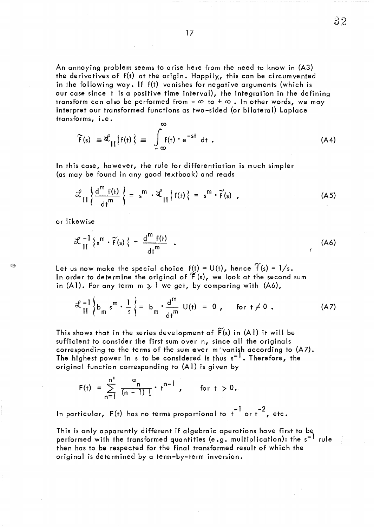An annoying problem seems to arise here From the need to know in (A3) the derivatives of  $f(t)$  at the origin. Happily, this can be circumvented in the following way. If f(t) vanishes for negative arguments (which is our case since t is a positive time interval), the integration in the defining transform can also be performed from  $-\infty$  to  $+\infty$ . In other words, we may interpret our transformed functions as two-sided (or bilateral) Laplace

 $32$ 

$$
\widetilde{f}(s) \equiv \mathcal{L}_{\text{II}}\{f(t)\} \equiv \int_{-\infty}^{\infty} f(t) \cdot e^{-st} dt . \qquad (A4)
$$

ln this case, however, the rule for differentiation is much simpler (as may be found in any good textbook) and reads

$$
\mathcal{L}_{\text{II}}\left\{\frac{d^m f(t)}{dt^m}\right\} = s^m \cdot \mathcal{L}_{\text{II}}\left\{f(t)\right\} = s^m \cdot \widetilde{f}(s) \quad . \tag{A5}
$$

or likewise

transforms, i.e.

$$
\mathcal{L}^{-1}_{II}\left\{s^{m} \cdot \widetilde{f}(s)\right\} = \frac{d^{m} f(t)}{dt^{m}} \quad . \tag{A6}
$$

Let us now make the special choice  $f(t) = U(t)$ , hence  $\widetilde{f}(s) = 1/s$ . In order to determine the original of  $\widetilde{F}(s)$ , we look at the second sum in (A1). For any term  $m > 1$  we get, by comparing with (A6),

$$
\mathcal{L}^{-1}\left\{b_m s^m \cdot \frac{1}{s}\right\} = b_m \cdot \frac{d^m}{dt^m} \cup (t) = 0, \quad \text{for } t \neq 0. \tag{A7}
$$

This shows that in the series development of  $\widetilde{F}(s)$  in (A1) it will be sufficient to consider the first sum over n, since all the originals corresponding to the terms of the sum over myanish according to (A7). The highest power in s to be considered is thus s<sup>-1</sup>. Therefore, the original function corresponding to (A1) is given by

$$
F(t) = \sum_{n=1}^{n!} \frac{a_n}{(n-1)!} \cdot t^{n-1}, \quad \text{for } t > 0.
$$

In particular,  $F(t)$  has no terms proportional to  $t^{-1}$  or  $t^{-2}$ , etc.

This is only apparently different if algebraic operations have first to be performed with the transformed quantities (e.g. multiplication): the s<sup>-1</sup> rule then has to be respected for the final transformed result of which the original is determined by a term-by-term inversion.